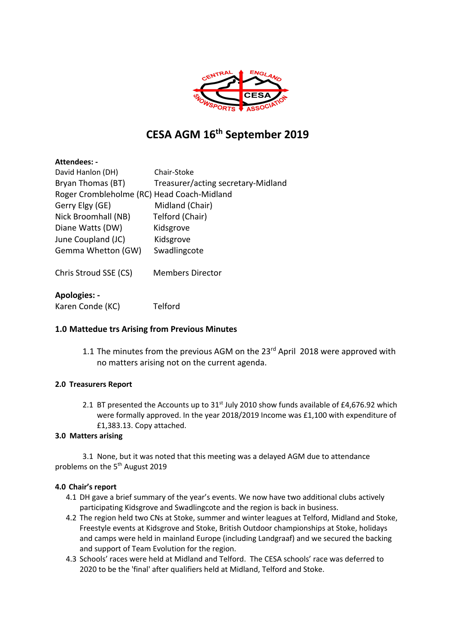

# **CESA AGM 16th September 2019**

| Attendees: -                               |                                    |
|--------------------------------------------|------------------------------------|
| David Hanlon (DH)                          | Chair-Stoke                        |
| Bryan Thomas (BT)                          | Treasurer/acting secretary-Midland |
| Roger Crombleholme (RC) Head Coach-Midland |                                    |
| Gerry Elgy (GE)                            | Midland (Chair)                    |
| Nick Broomhall (NB)                        | Telford (Chair)                    |
| Diane Watts (DW)                           | Kidsgrove                          |
| June Coupland (JC)                         | Kidsgrove                          |
| Gemma Whetton (GW)                         | Swadlingcote                       |
| Chris Stroud SSE (CS)                      | <b>Members Director</b>            |
| <b>Apologies: -</b>                        |                                    |

Karen Conde (KC) Telford

## **1.0 Mattedue trs Arising from Previous Minutes**

1.1 The minutes from the previous AGM on the 23<sup>rd</sup> April 2018 were approved with no matters arising not on the current agenda.

## **2.0 Treasurers Report**

2.1 BT presented the Accounts up to  $31<sup>st</sup>$  July 2010 show funds available of £4,676.92 which were formally approved. In the year 2018/2019 Income was £1,100 with expenditure of £1,383.13. Copy attached.

#### **3.0 Matters arising**

3.1 None, but it was noted that this meeting was a delayed AGM due to attendance problems on the 5<sup>th</sup> August 2019

#### **4.0 Chair's report**

- 4.1 DH gave a brief summary of the year's events. We now have two additional clubs actively participating Kidsgrove and Swadlingcote and the region is back in business.
- 4.2 The region held two CNs at Stoke, summer and winter leagues at Telford, Midland and Stoke, Freestyle events at Kidsgrove and Stoke, British Outdoor championships at Stoke, holidays and camps were held in mainland Europe (including Landgraaf) and we secured the backing and support of Team Evolution for the region.
- 4.3 Schools' races were held at Midland and Telford. The CESA schools' race was deferred to 2020 to be the 'final' after qualifiers held at Midland, Telford and Stoke.